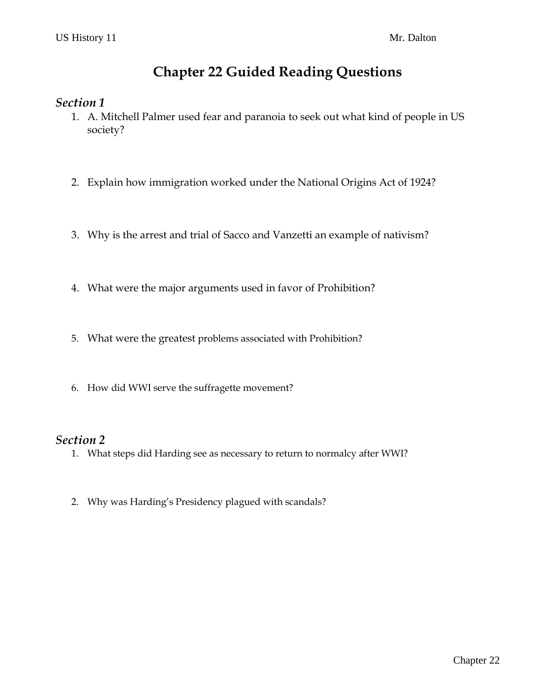# **Chapter 22 Guided Reading Questions**

### *Section 1*

- 1. A. Mitchell Palmer used fear and paranoia to seek out what kind of people in US society?
- 2. Explain how immigration worked under the National Origins Act of 1924?
- 3. Why is the arrest and trial of Sacco and Vanzetti an example of nativism?
- 4. What were the major arguments used in favor of Prohibition?
- 5. What were the greatest problems associated with Prohibition?
- 6. How did WWI serve the suffragette movement?

### *Section 2*

- 1. What steps did Harding see as necessary to return to normalcy after WWI?
- 2. Why was Harding's Presidency plagued with scandals?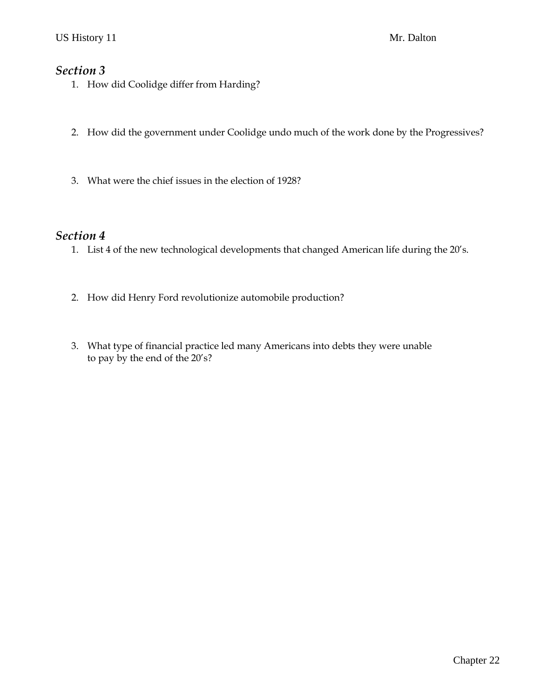### *Section 3*

- 1. How did Coolidge differ from Harding?
- 2. How did the government under Coolidge undo much of the work done by the Progressives?
- 3. What were the chief issues in the election of 1928?

#### *Section 4*

- 1. List 4 of the new technological developments that changed American life during the 20's.
- 2. How did Henry Ford revolutionize automobile production?
- 3. What type of financial practice led many Americans into debts they were unable to pay by the end of the 20's?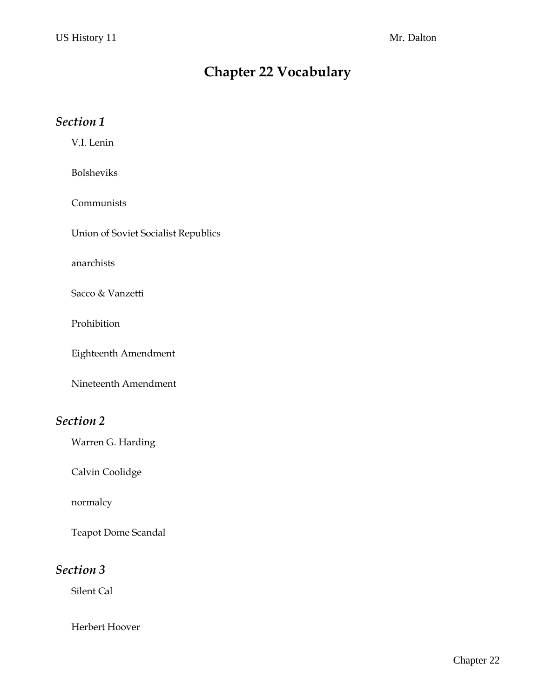# **Chapter 22 Vocabulary**

### *Section 1*

V.I. Lenin

Bolsheviks

Communists

Union of Soviet Socialist Republics

anarchists

Sacco & Vanzetti

Prohibition

Eighteenth Amendment

Nineteenth Amendment

## *Section 2*

Warren G. Harding

Calvin Coolidge

normalcy

Teapot Dome Scandal

### *Section 3*

Silent Cal

Herbert Hoover